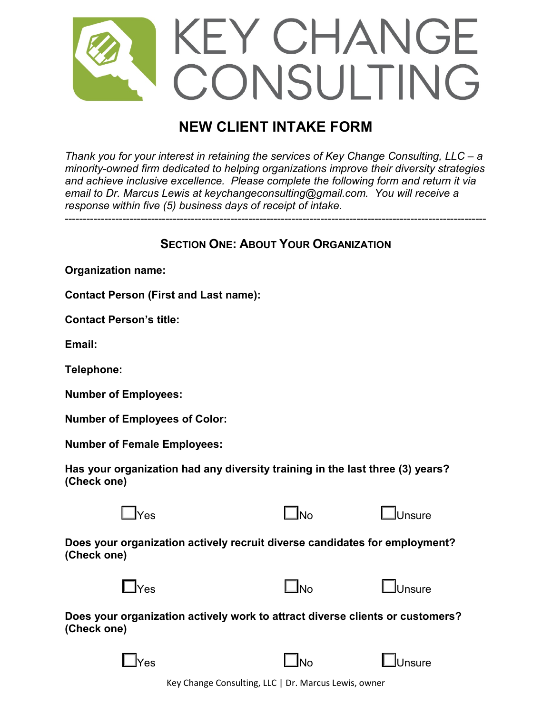

# **NEW CLIENT INTAKE FORM**

*Thank you for your interest in retaining the services of Key Change Consulting, LLC – a minority-owned firm dedicated to helping organizations improve their diversity strategies and achieve inclusive excellence. Please complete the following form and return it via email to Dr. Marcus Lewis at keychangeconsulting@gmail.com. You will receive a response within five (5) business days of receipt of intake.* 

# **SECTION ONE: ABOUT YOUR ORGANIZATION**

---------------------------------------------------------------------------------------------------------------------

**Organization name:**

**Contact Person (First and Last name):**

**Contact Person's title:**

**Email:**

**Telephone:**

**Number of Employees:**

**Number of Employees of Color:**

**Number of Female Employees:**

**Has your organization had any diversity training in the last three (3) years? (Check one)**



**Does your organization actively recruit diverse candidates for employment? (Check one)**

| $\Box$ Yes | ا No | LUnsure |
|------------|------|---------|
|------------|------|---------|

**Does your organization actively work to attract diverse clients or customers? (Check one)**

| ۰, |  |
|----|--|
|----|--|

☐Yes ☐No ☐Unsure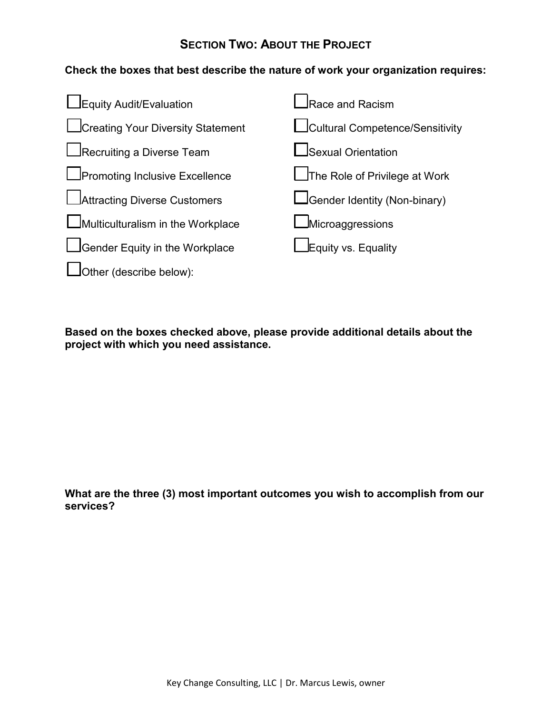# **SECTION TWO: ABOUT THE PROJECT**

## **Check the boxes that best describe the nature of work your organization requires:**



**Based on the boxes checked above, please provide additional details about the project with which you need assistance.**

**What are the three (3) most important outcomes you wish to accomplish from our services?**